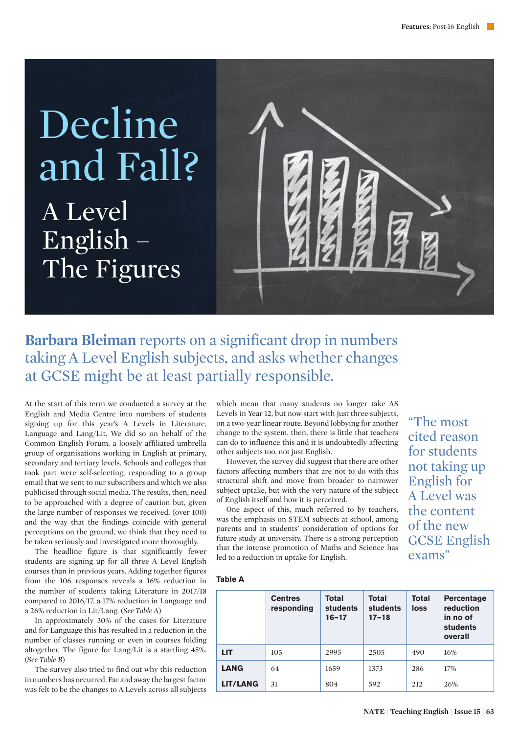# A Level English – The Figures Decline and Fall?



## **Barbara Bleiman** reports on a significant drop in numbers taking A Level English subjects, and asks whether changes at GCSE might be at least partially responsible.

At the start of this term we conducted a survey at the English and Media Centre into numbers of students signing up for this year's A Levels in Literature, Language and Lang/Lit. We did so on behalf of the Common English Forum, a loosely affiliated umbrella group of organisations working in English at primary, secondary and tertiary levels. Schools and colleges that took part were self-selecting, responding to a group email that we sent to our subscribers and which we also publicised through social media. The results, then, need to be approached with a degree of caution but, given the large number of responses we received, (over 100) and the way that the findings coincide with general perceptions on the ground, we think that they need to be taken seriously and investigated more thoroughly.

The headline figure is that significantly fewer students are signing up for all three A Level English courses than in previous years. Adding together figures from the 106 responses reveals a 16% reduction in the number of students taking Literature in 2017/18 compared to 2016/17, a 17% reduction in Language and a 26% reduction in Lit/Lang. (*See Table A*)

In approximately 30% of the cases for Literature and for Language this has resulted in a reduction in the number of classes running or even in courses folding altogether. The figure for Lang/Lit is a startling 45%. (*See Table B*)

The survey also tried to find out why this reduction in numbers has occurred. Far and away the largest factor was felt to be the changes to A Levels across all subjects

which mean that many students no longer take AS Levels in Year 12, but now start with just three subjects, on a two-year linear route. Beyond lobbying for another change to the system, then, there is little that teachers can do to influence this and it is undoubtedly affecting other subjects too, not just English.

However, the survey did suggest that there are other factors affecting numbers that are not to do with this structural shift and move from broader to narrower subject uptake, but with the very nature of the subject of English itself and how it is perceived.

One aspect of this, much referred to by teachers, was the emphasis on STEM subjects at school, among parents and in students' consideration of options for future study at university. There is a strong perception that the intense promotion of Maths and Science has led to a reduction in uptake for English.

"The most cited reason for students not taking up English for A Level was the content of the new GCSE English exams"

#### **Table A**

|                 | <b>Centres</b><br>responding | Total<br><b>students</b><br>$16 - 17$ | <b>Total</b><br>students<br>$17 - 18$ | Total<br>loss | <b>Percentage</b><br>reduction<br>in no of<br>students<br>overall |
|-----------------|------------------------------|---------------------------------------|---------------------------------------|---------------|-------------------------------------------------------------------|
| LIT.            | 105                          | 2995                                  | 2505                                  | 490           | 16%                                                               |
| <b>LANG</b>     | 64                           | 1659                                  | 1373                                  | 286           | 17%                                                               |
| <b>LIT/LANG</b> | 31                           | 804                                   | 592                                   | 212           | 26%                                                               |